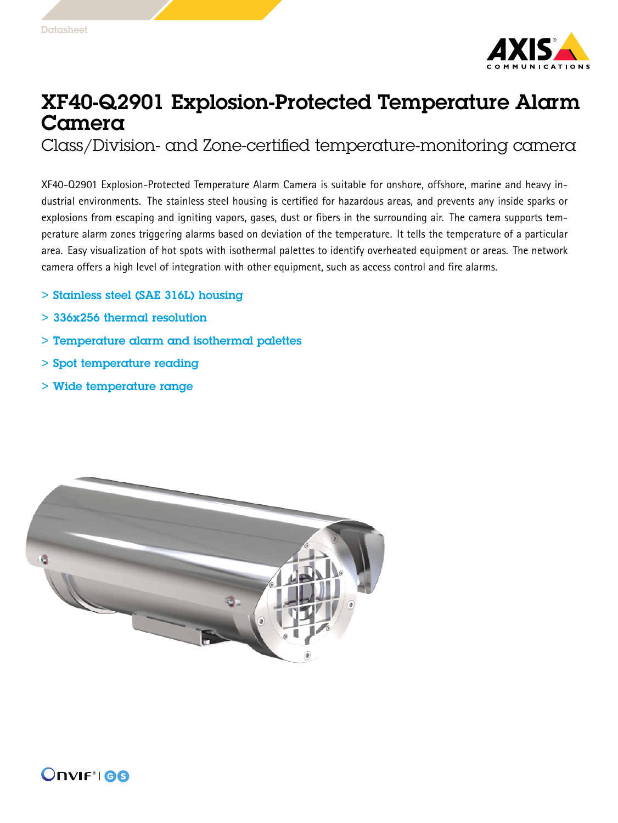

## XF40-Q2901 Explosion-Protected Temperature Alarm Camera

Class/Division- and Zone-certified temperature-monitoring camera

XF40-Q2901 Explosion-Protected Temperature Alarm Camera is suitable for onshore, offshore, marine and heavy industrial environments. The stainless steel housing is certified for hazardous areas, and prevents any inside sparks or explosions from escaping and igniting vapors, gases, dust or fibers in the surrounding air. The camera supports temperature alarm zones triggering alarms based on deviation of the temperature. It tells the temperature of <sup>a</sup> particular area. Easy visualization of hot spots with isothermal palettes to identify overheated equipment or areas. The network camera offers <sup>a</sup> high level of integration with other equipment, such as access control and fire alarms.

- > Stainless steel (SAE 316L) housing
- > 336x256 thermal resolution
- > Temperature alarm and isothermal palettes
- > Spot temperature reading
- > Wide temperature range



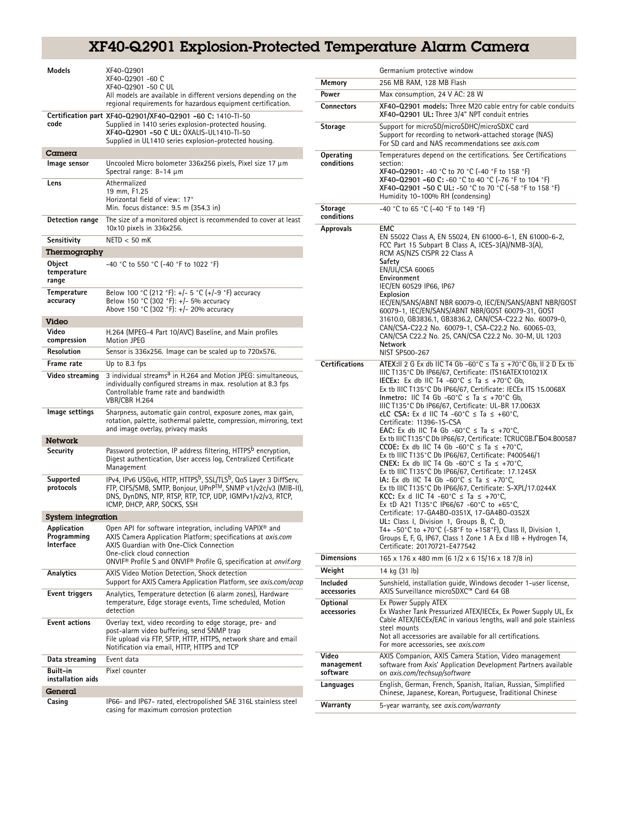## XF40-Q2901 Explosion-Protected Temperature Alarm Camera

| Models                                  | XF40-Q2901<br>XF40-Q2901 -60 C<br>XF40-Q2901 -50 C UL<br>All models are available in different versions depending on the<br>regional requirements for hazardous equipment certification.                                                                                                      |
|-----------------------------------------|-----------------------------------------------------------------------------------------------------------------------------------------------------------------------------------------------------------------------------------------------------------------------------------------------|
| code                                    | Certification part XF40-02901/XF40-02901 -60 C: 1410-TI-50<br>Supplied in 1410 series explosion-protected housing.<br>XF40-Q2901 -50 C UL: 0XALIS-UL1410-TI-50<br>Supplied in UL1410 series explosion-protected housing.                                                                      |
| Camera                                  |                                                                                                                                                                                                                                                                                               |
| Image sensor                            | Uncooled Micro bolometer 336x256 pixels, Pixel size 17 µm<br>Spectral range: $8-14 \mu m$                                                                                                                                                                                                     |
| Lens                                    | Athermalized<br>19 mm, F1.25<br>Horizontal field of view: 17°<br>Min. focus distance: 9.5 m (354.3 in)                                                                                                                                                                                        |
| <b>Detection range</b>                  | The size of a monitored object is recommended to cover at least<br>10x10 pixels in 336x256.                                                                                                                                                                                                   |
| Sensitivity                             | $NETD < 50$ mK                                                                                                                                                                                                                                                                                |
| Thermography                            |                                                                                                                                                                                                                                                                                               |
| Object<br>temperature<br>range          | -40 °C to 550 °C (-40 °F to 1022 °F)                                                                                                                                                                                                                                                          |
| Temperature<br>accuracy                 | Below 100 °C (212 °F): +/- 5 °C (+/-9 °F) accuracy<br>Below 150 °C (302 °F): +/- 5% accuracy<br>Above 150 °C (302 °F): +/- 20% accuracy                                                                                                                                                       |
| Video                                   |                                                                                                                                                                                                                                                                                               |
| Video<br>compression                    | H.264 (MPEG-4 Part 10/AVC) Baseline, and Main profiles<br><b>Motion JPEG</b>                                                                                                                                                                                                                  |
| Resolution                              | Sensor is 336x256. Image can be scaled up to 720x576.                                                                                                                                                                                                                                         |
| Frame rate                              | Up to 8.3 fps                                                                                                                                                                                                                                                                                 |
| Video streaming                         | 3 individual streams <sup>a</sup> in H.264 and Motion JPEG: simultaneous,<br>individually configured streams in max. resolution at 8.3 fps<br>Controllable frame rate and bandwidth<br>VBR/CBR H.264                                                                                          |
| lmage settings                          | Sharpness, automatic gain control, exposure zones, max gain,<br>rotation, palette, isothermal palette, compression, mirroring, text<br>and image overlay, privacy masks                                                                                                                       |
| Network                                 |                                                                                                                                                                                                                                                                                               |
| Security                                | Password protection, IP address filtering, HTTPS <sup>b</sup> encryption,<br>Digest authentication, User access log, Centralized Certificate<br>Management                                                                                                                                    |
| Supported<br>protocols                  | IPv4, IPv6 USGv6, HTTP, HTTPS <sup>b</sup> , SSL/TLS <sup>b</sup> , QoS Layer 3 DiffServ,<br>FTP, CIFS/SMB, SMTP, Bonjour, UPnP™, SNMP v1/v2c/v3 (MIB-II),<br>DNS, DynDNS, NTP, RTSP, RTP, TCP, UDP, IGMPv1/v2/v3, RTCP,<br>ICMP, DHCP, ARP, SOCKS, SSH                                       |
| System integration                      |                                                                                                                                                                                                                                                                                               |
| Application<br>Programming<br>Interface | Open API for software integration, including VAPIX® and<br>AXIS Camera Application Platform; specifications at axis.com<br>AXIS Guardian with One-Click Connection<br>One-click cloud connection<br>ONVIF <sup>®</sup> Profile S and ONVIF <sup>®</sup> Profile G, specification at onvif.org |
| Analytics                               | AXIS Video Motion Detection, Shock detection<br>Support for AXIS Camera Application Platform, see axis.com/acap                                                                                                                                                                               |
| <b>Event triggers</b>                   | Analytics, Temperature detection (6 alarm zones), Hardware<br>temperature, Edge storage events, Time scheduled, Motion<br>detection                                                                                                                                                           |
| <b>Event actions</b>                    | Overlay text, video recording to edge storage, pre- and<br>post-alarm video buffering, send SNMP trap<br>File upload via FTP, SFTP, HTTP, HTTPS, network share and email<br>Notification via email, HTTP, HTTPS and TCP                                                                       |
| Data streaming                          | Event data                                                                                                                                                                                                                                                                                    |
| Built-in<br>installation aids           | Pixel counter                                                                                                                                                                                                                                                                                 |
| General                                 |                                                                                                                                                                                                                                                                                               |
| Casing                                  | IP66- and IP67- rated, electropolished SAE 316L stainless steel                                                                                                                                                                                                                               |
|                                         | casing for maximum corrosion protection                                                                                                                                                                                                                                                       |

|                                 | Germanium protective window                                                                                                                                                                                                                                                                                                                                                                                                                                                                                                                                                                                                                                                                                                                                                                                                                                                                                                                                                                                                                                                                                                                                                                                                                                                                    |
|---------------------------------|------------------------------------------------------------------------------------------------------------------------------------------------------------------------------------------------------------------------------------------------------------------------------------------------------------------------------------------------------------------------------------------------------------------------------------------------------------------------------------------------------------------------------------------------------------------------------------------------------------------------------------------------------------------------------------------------------------------------------------------------------------------------------------------------------------------------------------------------------------------------------------------------------------------------------------------------------------------------------------------------------------------------------------------------------------------------------------------------------------------------------------------------------------------------------------------------------------------------------------------------------------------------------------------------|
| Memory                          | 256 MB RAM, 128 MB Flash                                                                                                                                                                                                                                                                                                                                                                                                                                                                                                                                                                                                                                                                                                                                                                                                                                                                                                                                                                                                                                                                                                                                                                                                                                                                       |
| Power                           | Max consumption, 24 V AC: 28 W                                                                                                                                                                                                                                                                                                                                                                                                                                                                                                                                                                                                                                                                                                                                                                                                                                                                                                                                                                                                                                                                                                                                                                                                                                                                 |
| <b>Connectors</b>               | XF40-Q2901 models: Three M20 cable entry for cable conduits<br>XF40-Q2901 UL: Three 3/4" NPT conduit entries                                                                                                                                                                                                                                                                                                                                                                                                                                                                                                                                                                                                                                                                                                                                                                                                                                                                                                                                                                                                                                                                                                                                                                                   |
| <b>Storage</b>                  | Support for microSD/microSDHC/microSDXC card<br>Support for recording to network-attached storage (NAS)<br>For SD card and NAS recommendations see <i>gxis.com</i>                                                                                                                                                                                                                                                                                                                                                                                                                                                                                                                                                                                                                                                                                                                                                                                                                                                                                                                                                                                                                                                                                                                             |
| Operating<br>conditions         | Temperatures depend on the certifications. See Certifications<br>section:<br>XF40-Q2901: -40 °C to 70 °C (-40 °F to 158 °F)<br>XF40-Q2901 -60 C: -60 °C to 40 °C (-76 °F to 104 °F)<br>XF40-02901 -50 C UL: -50 °C to 70 °C (-58 °F to 158 °F)<br>Humidity 10-100% RH (condensing)                                                                                                                                                                                                                                                                                                                                                                                                                                                                                                                                                                                                                                                                                                                                                                                                                                                                                                                                                                                                             |
| Storage<br>conditions           | -40 °C to 65 °C (-40 °F to 149 °F)                                                                                                                                                                                                                                                                                                                                                                                                                                                                                                                                                                                                                                                                                                                                                                                                                                                                                                                                                                                                                                                                                                                                                                                                                                                             |
| <b>Approvals</b>                | EMC<br>EN 55022 Class A, EN 55024, EN 61000-6-1, EN 61000-6-2,<br>FCC Part 15 Subpart B Class A, ICES-3(A)/NMB-3(A),<br>RCM AS/NZS CISPR 22 Class A<br>Safety<br>EN/UL/CSA 60065<br>Environment<br>IEC/EN 60529 IP66, IP67<br>Explosion<br>IEC/EN/SANS/ABNT NBR 60079-0, IEC/EN/SANS/ABNT NBR/GOST<br>60079-1, IEC/EN/SANS/ABNT NBR/GOST 60079-31, GOST<br>31610.0, GB3836.1, GB3836.2, CAN/CSA-C22.2 No. 60079-0,<br>CAN/CSA-C22.2 No. 60079-1, CSA-C22.2 No. 60065-03,<br>CAN/CSA C22.2 No. 25, CAN/CSA C22.2 No. 30-M, UL 1203<br>Network<br>NIST SP500-267                                                                                                                                                                                                                                                                                                                                                                                                                                                                                                                                                                                                                                                                                                                                 |
| <b>Certifications</b>           | ATEX:II 2 G Ex db IIC T4 Gb -60°C $\leq$ Ta $\leq$ +70°C Gb, II 2 D Ex tb<br>IIIC T135°C Db IP66/67, Certificate: ITS16ATEX101021X<br>IECEx: Ex db IIC T4 -60°C $\leq$ Ta $\leq$ +70°C Gb,<br>Ex tb IIIC T135°C Db IP66/67, Certificate: IECEx ITS 15.0068X<br>Inmetro: IIC T4 Gb -60°C $\leq$ Ta $\leq$ +70°C Gb,<br>IIIC T135°C Db IP66/67, Certificate: UL-BR 17.0063X<br>cLC CSA: Ex d IIC T4 -60°C ≤ Ta ≤ +60°C,<br>Certificate: 11396-1S-CSA<br><b>EAC:</b> Ex db IIC T4 Gb -60°C $\leq$ Ta $\leq$ +70°C,<br>Ex tb IIIC T135°C Db IP66/67, Certificate: TCRUCGB. F 504. B00587<br>CCOE: Ex db IIC T4 Gb -60°C $\leq$ Ta $\leq$ +70°C.<br>Ex tb IIIC T135°C Db IP66/67, Certificate: P400546/1<br>CNEX: Ex db IIC T4 Gb -60°C $\leq$ Ta $\leq$ +70°C,<br>Ex tb IIIC T135°C Db IP66/67, Certificate: 17.1245X<br>IA: Ex db IIC T4 Gb -60°C $\leq$ Ta $\leq$ +70°C,<br>Ex tb IIIC T135°C Db IP66/67, Certificate: S-XPL/17.0244X<br>KCC: Ex d IIC T4 -60°C $\leq$ Ta $\leq$ +70°C,<br>Ex tD A21 T135°C IP66/67 -60°C to +65°C,<br>Certificate: 17-GA4B0-0351X, 17-GA4B0-0352X<br>UL: Class I, Division 1, Groups B, C, D,<br>T4+ -50°C to +70°C (-58°F to +158°F), Class II, Division 1,<br>Groups E, F, G, IP67, Class 1 Zone 1 A Ex d IIB + Hydrogen T4,<br>Certificate: 20170721-E477542 |
| <b>Dimensions</b>               | 165 x 176 x 480 mm (6 1/2 x 6 15/16 x 18 7/8 in)                                                                                                                                                                                                                                                                                                                                                                                                                                                                                                                                                                                                                                                                                                                                                                                                                                                                                                                                                                                                                                                                                                                                                                                                                                               |
| Weight                          | 14 kg (31 lb)                                                                                                                                                                                                                                                                                                                                                                                                                                                                                                                                                                                                                                                                                                                                                                                                                                                                                                                                                                                                                                                                                                                                                                                                                                                                                  |
| Included<br>accessories         | Sunshield, installation guide, Windows decoder 1-user license,<br>AXIS Surveillance microSDXC™ Card 64 GB                                                                                                                                                                                                                                                                                                                                                                                                                                                                                                                                                                                                                                                                                                                                                                                                                                                                                                                                                                                                                                                                                                                                                                                      |
| Optional<br>accessories         | Ex Power Supply ATEX<br>Ex Washer Tank Pressurized ATEX/IECEx, Ex Power Supply UL, Ex<br>Cable ATEX/IECEx/EAC in various lengths, wall and pole stainless<br>steel mounts<br>Not all accessories are available for all certifications.<br>For more accessories, see axis.com                                                                                                                                                                                                                                                                                                                                                                                                                                                                                                                                                                                                                                                                                                                                                                                                                                                                                                                                                                                                                   |
| Video<br>management<br>software | AXIS Companion, AXIS Camera Station, Video management<br>software from Axis' Application Development Partners available<br>on axis.com/techsup/software                                                                                                                                                                                                                                                                                                                                                                                                                                                                                                                                                                                                                                                                                                                                                                                                                                                                                                                                                                                                                                                                                                                                        |
| Languages                       | English, German, French, Spanish, Italian, Russian, Simplified<br>Chinese, Japanese, Korean, Portuguese, Traditional Chinese                                                                                                                                                                                                                                                                                                                                                                                                                                                                                                                                                                                                                                                                                                                                                                                                                                                                                                                                                                                                                                                                                                                                                                   |
| Warranty                        | 5-year warranty, see axis.com/warranty                                                                                                                                                                                                                                                                                                                                                                                                                                                                                                                                                                                                                                                                                                                                                                                                                                                                                                                                                                                                                                                                                                                                                                                                                                                         |
|                                 |                                                                                                                                                                                                                                                                                                                                                                                                                                                                                                                                                                                                                                                                                                                                                                                                                                                                                                                                                                                                                                                                                                                                                                                                                                                                                                |